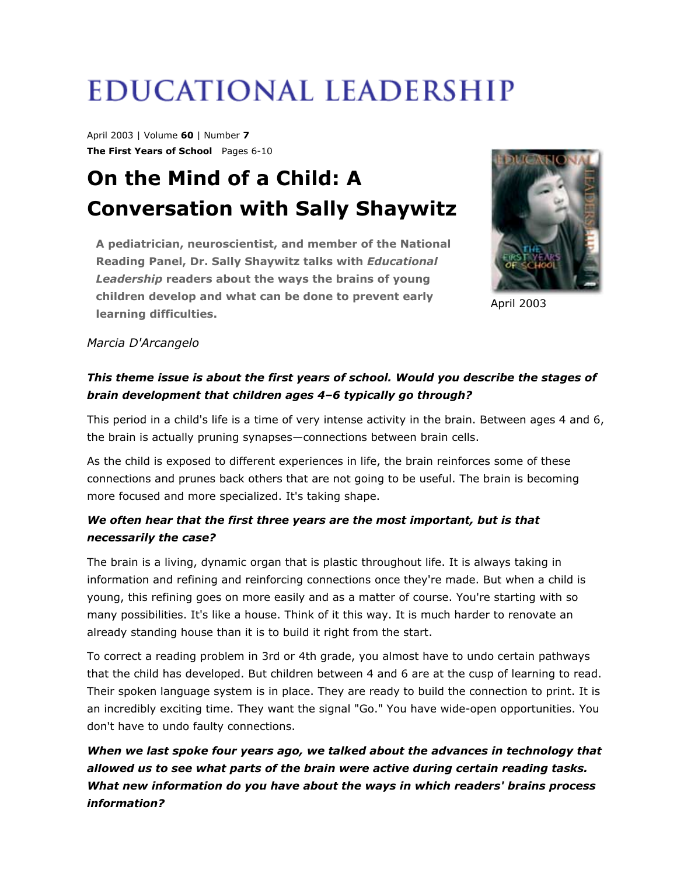# **EDUCATIONAL LEADERSHIP**

April 2003 | Volume **60** | Number **7 The First Years of School** Pages 6-10

# **On the Mind of a Child: A Conversation with Sally Shaywitz**

**A pediatrician, neuroscientist, and member of the National Reading Panel, Dr. Sally Shaywitz talks with** *Educational Leadership* **readers about the ways the brains of young children develop and what can be done to prevent early learning difficulties.**



April 2003

#### *Marcia D'Arcangelo*

# *This theme issue is about the first years of school. Would you describe the stages of brain development that children ages 4–6 typically go through?*

This period in a child's life is a time of very intense activity in the brain. Between ages 4 and 6, the brain is actually pruning synapses—connections between brain cells.

As the child is exposed to different experiences in life, the brain reinforces some of these connections and prunes back others that are not going to be useful. The brain is becoming more focused and more specialized. It's taking shape.

# *We often hear that the first three years are the most important, but is that necessarily the case?*

The brain is a living, dynamic organ that is plastic throughout life. It is always taking in information and refining and reinforcing connections once they're made. But when a child is young, this refining goes on more easily and as a matter of course. You're starting with so many possibilities. It's like a house. Think of it this way. It is much harder to renovate an already standing house than it is to build it right from the start.

To correct a reading problem in 3rd or 4th grade, you almost have to undo certain pathways that the child has developed. But children between 4 and 6 are at the cusp of learning to read. Their spoken language system is in place. They are ready to build the connection to print. It is an incredibly exciting time. They want the signal "Go." You have wide-open opportunities. You don't have to undo faulty connections.

*When we last spoke four years ago, we talked about the advances in technology that allowed us to see what parts of the brain were active during certain reading tasks. What new information do you have about the ways in which readers' brains process information?*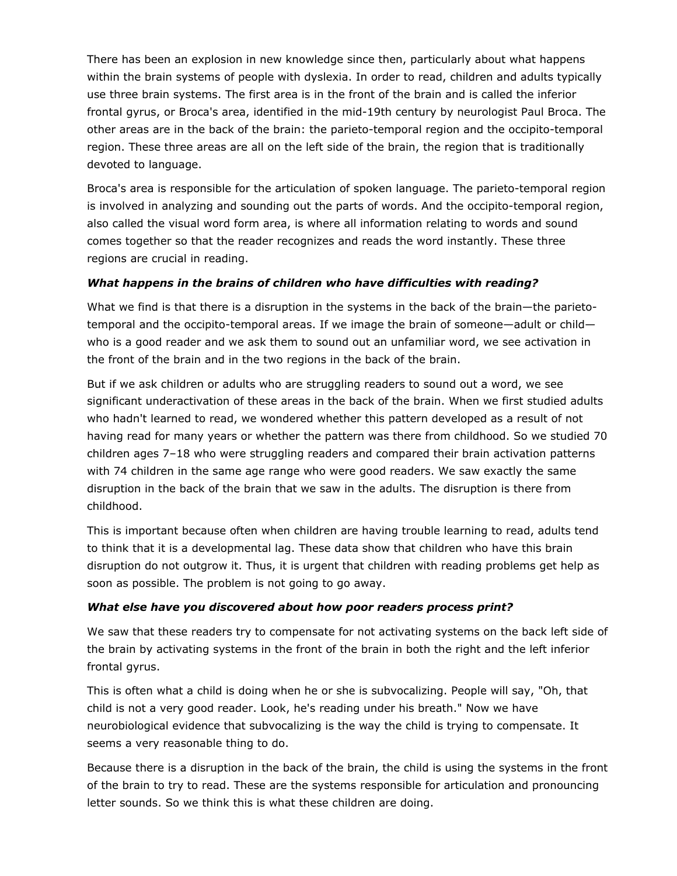There has been an explosion in new knowledge since then, particularly about what happens within the brain systems of people with dyslexia. In order to read, children and adults typically use three brain systems. The first area is in the front of the brain and is called the inferior frontal gyrus, or Broca's area, identified in the mid-19th century by neurologist Paul Broca. The other areas are in the back of the brain: the parieto-temporal region and the occipito-temporal region. These three areas are all on the left side of the brain, the region that is traditionally devoted to language.

Broca's area is responsible for the articulation of spoken language. The parieto-temporal region is involved in analyzing and sounding out the parts of words. And the occipito-temporal region, also called the visual word form area, is where all information relating to words and sound comes together so that the reader recognizes and reads the word instantly. These three regions are crucial in reading.

#### *What happens in the brains of children who have difficulties with reading?*

What we find is that there is a disruption in the systems in the back of the brain—the parietotemporal and the occipito-temporal areas. If we image the brain of someone—adult or child who is a good reader and we ask them to sound out an unfamiliar word, we see activation in the front of the brain and in the two regions in the back of the brain.

But if we ask children or adults who are struggling readers to sound out a word, we see significant underactivation of these areas in the back of the brain. When we first studied adults who hadn't learned to read, we wondered whether this pattern developed as a result of not having read for many years or whether the pattern was there from childhood. So we studied 70 children ages 7–18 who were struggling readers and compared their brain activation patterns with 74 children in the same age range who were good readers. We saw exactly the same disruption in the back of the brain that we saw in the adults. The disruption is there from childhood.

This is important because often when children are having trouble learning to read, adults tend to think that it is a developmental lag. These data show that children who have this brain disruption do not outgrow it. Thus, it is urgent that children with reading problems get help as soon as possible. The problem is not going to go away.

#### *What else have you discovered about how poor readers process print?*

We saw that these readers try to compensate for not activating systems on the back left side of the brain by activating systems in the front of the brain in both the right and the left inferior frontal gyrus.

This is often what a child is doing when he or she is subvocalizing. People will say, "Oh, that child is not a very good reader. Look, he's reading under his breath." Now we have neurobiological evidence that subvocalizing is the way the child is trying to compensate. It seems a very reasonable thing to do.

Because there is a disruption in the back of the brain, the child is using the systems in the front of the brain to try to read. These are the systems responsible for articulation and pronouncing letter sounds. So we think this is what these children are doing.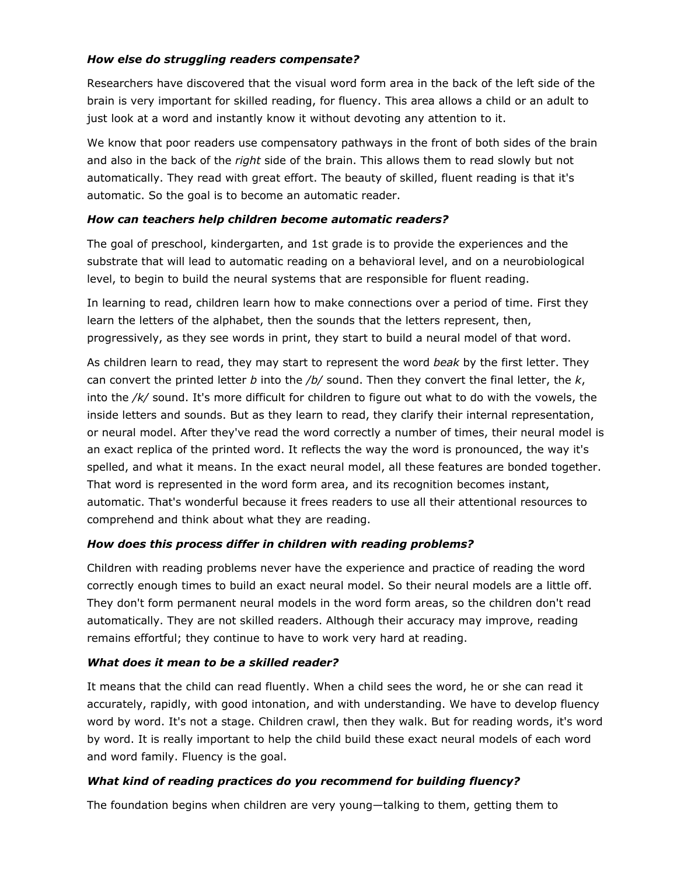#### *How else do struggling readers compensate?*

Researchers have discovered that the visual word form area in the back of the left side of the brain is very important for skilled reading, for fluency. This area allows a child or an adult to just look at a word and instantly know it without devoting any attention to it.

We know that poor readers use compensatory pathways in the front of both sides of the brain and also in the back of the *right* side of the brain. This allows them to read slowly but not automatically. They read with great effort. The beauty of skilled, fluent reading is that it's automatic. So the goal is to become an automatic reader.

#### *How can teachers help children become automatic readers?*

The goal of preschool, kindergarten, and 1st grade is to provide the experiences and the substrate that will lead to automatic reading on a behavioral level, and on a neurobiological level, to begin to build the neural systems that are responsible for fluent reading.

In learning to read, children learn how to make connections over a period of time. First they learn the letters of the alphabet, then the sounds that the letters represent, then, progressively, as they see words in print, they start to build a neural model of that word.

As children learn to read, they may start to represent the word *beak* by the first letter. They can convert the printed letter *b* into the */b/* sound. Then they convert the final letter, the *k*, into the */k/* sound. It's more difficult for children to figure out what to do with the vowels, the inside letters and sounds. But as they learn to read, they clarify their internal representation, or neural model. After they've read the word correctly a number of times, their neural model is an exact replica of the printed word. It reflects the way the word is pronounced, the way it's spelled, and what it means. In the exact neural model, all these features are bonded together. That word is represented in the word form area, and its recognition becomes instant, automatic. That's wonderful because it frees readers to use all their attentional resources to comprehend and think about what they are reading.

#### *How does this process differ in children with reading problems?*

Children with reading problems never have the experience and practice of reading the word correctly enough times to build an exact neural model. So their neural models are a little off. They don't form permanent neural models in the word form areas, so the children don't read automatically. They are not skilled readers. Although their accuracy may improve, reading remains effortful; they continue to have to work very hard at reading.

#### *What does it mean to be a skilled reader?*

It means that the child can read fluently. When a child sees the word, he or she can read it accurately, rapidly, with good intonation, and with understanding. We have to develop fluency word by word. It's not a stage. Children crawl, then they walk. But for reading words, it's word by word. It is really important to help the child build these exact neural models of each word and word family. Fluency is the goal.

#### *What kind of reading practices do you recommend for building fluency?*

The foundation begins when children are very young—talking to them, getting them to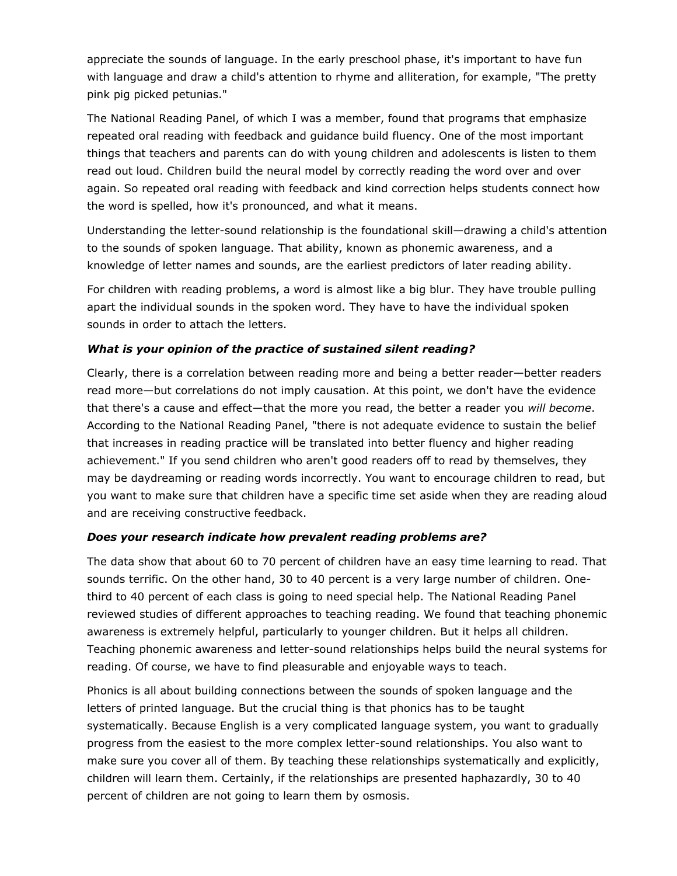appreciate the sounds of language. In the early preschool phase, it's important to have fun with language and draw a child's attention to rhyme and alliteration, for example, "The pretty pink pig picked petunias."

The National Reading Panel, of which I was a member, found that programs that emphasize repeated oral reading with feedback and guidance build fluency. One of the most important things that teachers and parents can do with young children and adolescents is listen to them read out loud. Children build the neural model by correctly reading the word over and over again. So repeated oral reading with feedback and kind correction helps students connect how the word is spelled, how it's pronounced, and what it means.

Understanding the letter-sound relationship is the foundational skill—drawing a child's attention to the sounds of spoken language. That ability, known as phonemic awareness, and a knowledge of letter names and sounds, are the earliest predictors of later reading ability.

For children with reading problems, a word is almost like a big blur. They have trouble pulling apart the individual sounds in the spoken word. They have to have the individual spoken sounds in order to attach the letters.

#### *What is your opinion of the practice of sustained silent reading?*

Clearly, there is a correlation between reading more and being a better reader—better readers read more—but correlations do not imply causation. At this point, we don't have the evidence that there's a cause and effect—that the more you read, the better a reader you *will become*. According to the National Reading Panel, "there is not adequate evidence to sustain the belief that increases in reading practice will be translated into better fluency and higher reading achievement." If you send children who aren't good readers off to read by themselves, they may be daydreaming or reading words incorrectly. You want to encourage children to read, but you want to make sure that children have a specific time set aside when they are reading aloud and are receiving constructive feedback.

#### *Does your research indicate how prevalent reading problems are?*

The data show that about 60 to 70 percent of children have an easy time learning to read. That sounds terrific. On the other hand, 30 to 40 percent is a very large number of children. Onethird to 40 percent of each class is going to need special help. The National Reading Panel reviewed studies of different approaches to teaching reading. We found that teaching phonemic awareness is extremely helpful, particularly to younger children. But it helps all children. Teaching phonemic awareness and letter-sound relationships helps build the neural systems for reading. Of course, we have to find pleasurable and enjoyable ways to teach.

Phonics is all about building connections between the sounds of spoken language and the letters of printed language. But the crucial thing is that phonics has to be taught systematically. Because English is a very complicated language system, you want to gradually progress from the easiest to the more complex letter-sound relationships. You also want to make sure you cover all of them. By teaching these relationships systematically and explicitly, children will learn them. Certainly, if the relationships are presented haphazardly, 30 to 40 percent of children are not going to learn them by osmosis.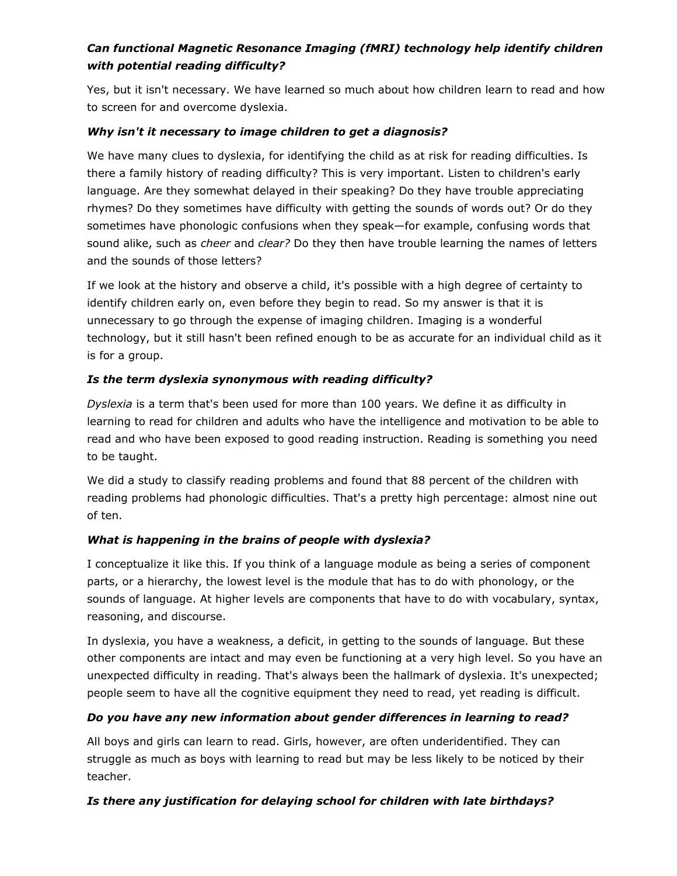# *Can functional Magnetic Resonance Imaging (fMRI) technology help identify children with potential reading difficulty?*

Yes, but it isn't necessary. We have learned so much about how children learn to read and how to screen for and overcome dyslexia.

#### *Why isn't it necessary to image children to get a diagnosis?*

We have many clues to dyslexia, for identifying the child as at risk for reading difficulties. Is there a family history of reading difficulty? This is very important. Listen to children's early language. Are they somewhat delayed in their speaking? Do they have trouble appreciating rhymes? Do they sometimes have difficulty with getting the sounds of words out? Or do they sometimes have phonologic confusions when they speak—for example, confusing words that sound alike, such as *cheer* and *clear?* Do they then have trouble learning the names of letters and the sounds of those letters?

If we look at the history and observe a child, it's possible with a high degree of certainty to identify children early on, even before they begin to read. So my answer is that it is unnecessary to go through the expense of imaging children. Imaging is a wonderful technology, but it still hasn't been refined enough to be as accurate for an individual child as it is for a group.

#### *Is the term dyslexia synonymous with reading difficulty?*

*Dyslexia* is a term that's been used for more than 100 years. We define it as difficulty in learning to read for children and adults who have the intelligence and motivation to be able to read and who have been exposed to good reading instruction. Reading is something you need to be taught.

We did a study to classify reading problems and found that 88 percent of the children with reading problems had phonologic difficulties. That's a pretty high percentage: almost nine out of ten.

#### *What is happening in the brains of people with dyslexia?*

I conceptualize it like this. If you think of a language module as being a series of component parts, or a hierarchy, the lowest level is the module that has to do with phonology, or the sounds of language. At higher levels are components that have to do with vocabulary, syntax, reasoning, and discourse.

In dyslexia, you have a weakness, a deficit, in getting to the sounds of language. But these other components are intact and may even be functioning at a very high level. So you have an unexpected difficulty in reading. That's always been the hallmark of dyslexia. It's unexpected; people seem to have all the cognitive equipment they need to read, yet reading is difficult.

#### *Do you have any new information about gender differences in learning to read?*

All boys and girls can learn to read. Girls, however, are often underidentified. They can struggle as much as boys with learning to read but may be less likely to be noticed by their teacher.

#### *Is there any justification for delaying school for children with late birthdays?*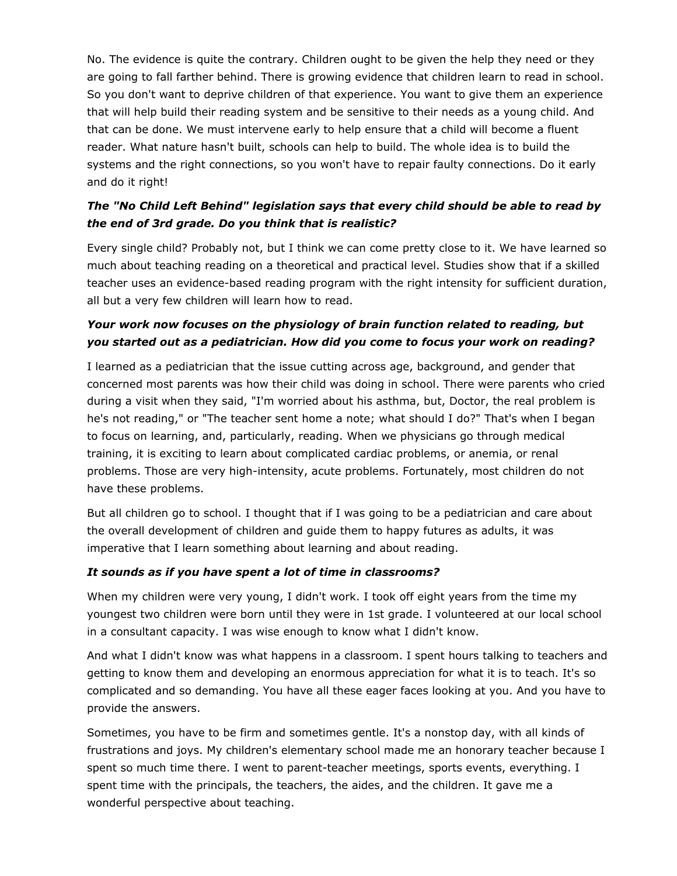No. The evidence is quite the contrary. Children ought to be given the help they need or they are going to fall farther behind. There is growing evidence that children learn to read in school. So you don't want to deprive children of that experience. You want to give them an experience that will help build their reading system and be sensitive to their needs as a young child. And that can be done. We must intervene early to help ensure that a child will become a fluent reader. What nature hasn't built, schools can help to build. The whole idea is to build the systems and the right connections, so you won't have to repair faulty connections. Do it early and do it right!

# *The "No Child Left Behind" legislation says that every child should be able to read by the end of 3rd grade. Do you think that is realistic?*

Every single child? Probably not, but I think we can come pretty close to it. We have learned so much about teaching reading on a theoretical and practical level. Studies show that if a skilled teacher uses an evidence-based reading program with the right intensity for sufficient duration, all but a very few children will learn how to read.

# *Your work now focuses on the physiology of brain function related to reading, but you started out as a pediatrician. How did you come to focus your work on reading?*

I learned as a pediatrician that the issue cutting across age, background, and gender that concerned most parents was how their child was doing in school. There were parents who cried during a visit when they said, "I'm worried about his asthma, but, Doctor, the real problem is he's not reading," or "The teacher sent home a note; what should I do?" That's when I began to focus on learning, and, particularly, reading. When we physicians go through medical training, it is exciting to learn about complicated cardiac problems, or anemia, or renal problems. Those are very high-intensity, acute problems. Fortunately, most children do not have these problems.

But all children go to school. I thought that if I was going to be a pediatrician and care about the overall development of children and guide them to happy futures as adults, it was imperative that I learn something about learning and about reading.

#### *It sounds as if you have spent a lot of time in classrooms?*

When my children were very young, I didn't work. I took off eight years from the time my youngest two children were born until they were in 1st grade. I volunteered at our local school in a consultant capacity. I was wise enough to know what I didn't know.

And what I didn't know was what happens in a classroom. I spent hours talking to teachers and getting to know them and developing an enormous appreciation for what it is to teach. It's so complicated and so demanding. You have all these eager faces looking at you. And you have to provide the answers.

Sometimes, you have to be firm and sometimes gentle. It's a nonstop day, with all kinds of frustrations and joys. My children's elementary school made me an honorary teacher because I spent so much time there. I went to parent-teacher meetings, sports events, everything. I spent time with the principals, the teachers, the aides, and the children. It gave me a wonderful perspective about teaching.